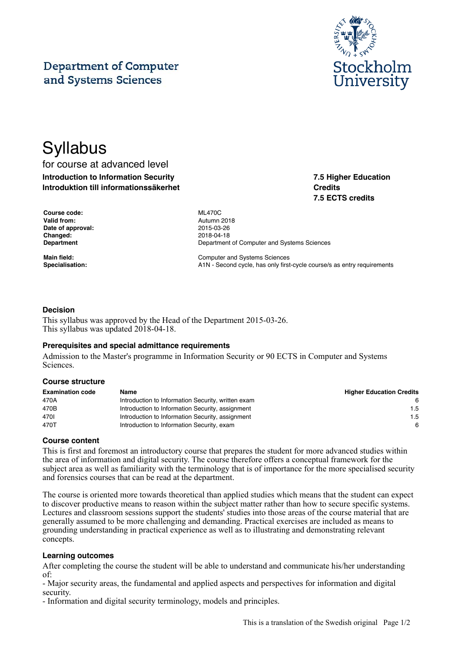# **Department of Computer** and Systems Sciences



**7.5 Higher Education**

**7.5 ECTS credits**

**Credits**

# **Syllabus**

for course at advanced level **Introduction to Information Security Introduktion till informationssäkerhet**

| <b>Course code:</b> |
|---------------------|
| Valid from:         |
| Date of approval:   |
| Changed:            |
| Department          |

**Course code:** ML470C **Valid from:** Autumn 2018 **Date of approval:** 2015-03-26 **Changed:** 2018-04-18 **Department of Computer and Systems Sciences** 

**Main field:** Computer and Systems Sciences Specialisation: **A1N** - Second cycle, has only first-cycle course/s as entry requirements

### **Decision**

This syllabus was approved by the Head of the Department 2015-03-26. This syllabus was updated 2018-04-18.

#### **Prerequisites and special admittance requirements**

Admission to the Master's programme in Information Security or 90 ECTS in Computer and Systems Sciences.

#### **Course structure**

| <b>Examination code</b> | Name                                               | <b>Higher Education Credits</b> |
|-------------------------|----------------------------------------------------|---------------------------------|
| 470A                    | Introduction to Information Security, written exam | -6                              |
| 470B                    | Introduction to Information Security, assignment   | 1.5                             |
| 4701                    | Introduction to Information Security, assignment   | 1.5                             |
| 470T                    | Introduction to Information Security, exam         | 6                               |

#### **Course content**

This is first and foremost an introductory course that prepares the student for more advanced studies within the area of information and digital security. The course therefore offers a conceptual framework for the subject area as well as familiarity with the terminology that is of importance for the more specialised security and forensics courses that can be read at the department.

The course is oriented more towards theoretical than applied studies which means that the student can expect to discover productive means to reason within the subject matter rather than how to secure specific systems. Lectures and classroom sessions support the students' studies into those areas of the course material that are generally assumed to be more challenging and demanding. Practical exercises are included as means to grounding understanding in practical experience as well as to illustrating and demonstrating relevant concepts.

#### **Learning outcomes**

After completing the course the student will be able to understand and communicate his/her understanding of:

- Major security areas, the fundamental and applied aspects and perspectives for information and digital security.

- Information and digital security terminology, models and principles.